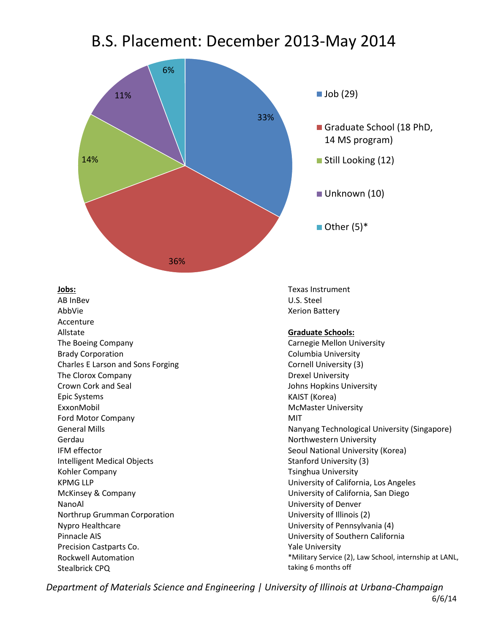## B.S. Placement: December 2013-May 2014



**Jobs:**

AB InBev AbbVie Accenture Allstate The Boeing Company Brady Corporation Charles E Larson and Sons Forging The Clorox Company Crown Cork and Seal Epic Systems ExxonMobil Ford Motor Company General Mills Gerdau IFM effector Intelligent Medical Objects Kohler Company KPMG LLP McKinsey & Company NanoAl Northrup Grumman Corporation Nypro Healthcare Pinnacle AIS Precision Castparts Co. Rockwell Automation Stealbrick CPQ

Texas Instrument U.S. Steel Xerion Battery

## **Graduate Schools:**

Carnegie Mellon University Columbia University Cornell University (3) Drexel University Johns Hopkins University KAIST (Korea) McMaster University MIT Nanyang Technological University (Singapore) Northwestern University Seoul National University (Korea) Stanford University (3) Tsinghua University University of California, Los Angeles University of California, San Diego University of Denver University of Illinois (2) University of Pennsylvania (4) University of Southern California Yale University \*Military Service (2), Law School, internship at LANL, taking 6 months off

*Department of Materials Science and Engineering | University of Illinois at Urbana-Champaign*